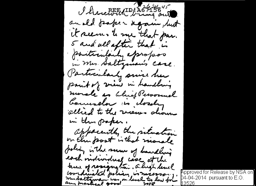I herewith wing out andle paper again, but it seems to me that par. 5 and all after that is particularly epropose. Particularly since her parit of view in handling morale as bluef Personnel Counselor is dordy allied to the views dioun in the paper. apparently the situation on the post is that morale policy in the server of handling each motivedual case at the tame of resignation. a high level coordinated policy is necessary.

Approved for Release by NSA onl 04-04-2014 pursuant to E.O. 13526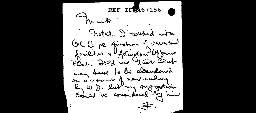REF IDWA67156 Frank: Rotal. I tolked with Col C pe question of recessional facilitier + Archiver and Officers may beave to be alsomedoned on decount of new recluing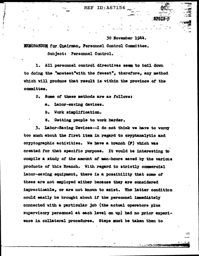**REF ID: A67156** 

30 November 1944.

MEMORANDUM for Chairman. Personnel Control Committee.

Subject: Personnel Control.

1. All personnel control directives seem to boil down to doing the "mostest"with the fevest", therefore, any method which will produce that result is within the province of the committee.

2. Some of these methods are as follows:

a. Labor-saving devices.

b. Work simplification.

Getting people to work harder. õ.

3. Labor-Saving Devices--I do not think we have to vorry too much about the first item in regard to oryptanalytic and cryptographic activities. We have a branch (F) which was created for that specific purpose. It would be interesting to compile a study of the amount of man-hours saved by the various products of this Branch. With regard to strictly commercial labor-saving equipment, there is a possibility that some of these are not employed wither because they are considered impracticable, or are not known to exist. The latter condition could easily be brought about if the personnel immediately connected with a particular job (the actual operators plus supervisory personnel at each level on up) had no prior experience in collateral procedures. Steps must be taken then to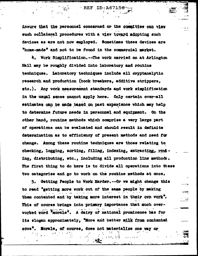insure that the personnel concerned or the committee can view such collateral procedures with a view toward adopting such devices as are not now employed. Sometimes these devices are "home-made" and not to be found in the commercial market.

 $REF$  ID: A67156

4. Work Simplification. --The vork carried on at Arlington Hall may be roughly divided into laboratory and routine techniques. Laboratory techniques include all cryptanalytic research and production (book breakers, additive strippers, etc.). Any work measurement standards and work simplification in the usual sense cannot apply here. Only certain over-all estimates can be made based on past experience which may help to determine future needs in personnel and equipment. On the other hand, routine methods which comprise a very large part of operations can be evaluated and should result in definite determination as to efficiency of present methods and need for change. Among these routine techniques are those relating to checking, logging, sorting, filing, indexing, extracting, rowing, distributing, etc., including all production line methods. The first thing to do here is to divide all operations into these two categories and go to work on the routine methods at once,

5. Getting People to Work Harder. -- Or we might change this to read "getting more vork out of the same people by making them contented and by taking more interest in their own work". This of course brings into primary importance that much overworked word "morale". A dairy of national prominence has for its slogan approximately, "More and better milk from contented Morale, of course, does not materialize one way or

ිසිද

医尿素 化乙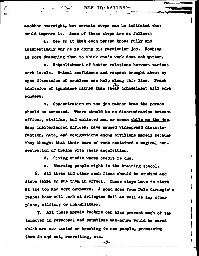$\leq$  REF ID:A67156.

another overnight, but certain steps can be initiated that could improve it. Some of these steps are as follows:

 $\overline{\mathbf{r}}$ 

 $\mathfrak{C}$ 

a. See to it that each person knows fully and interestingly why he is doing his particular job. Nothing is more deadening than to think one's vork does not matter.

b. Establishment of better relations between various work levels. Mutual confidence and respect brought about by open discussion of problems can help along this line. Frank admission of ignorance rather than their concealment will work vonders.

Concentration on the job rather than the person  $\bullet$ . should be stressed. There should be no discrimination between officer, civilian, and enlisted men or vomen while on the job. Many inexperienced officers have caused widespread disaatisfaction, hate, and resignations among civilians merely because they thought that their bars of rank contained a magical concentration of brains with their acquisition.

d. Giving credit where credit is due.

e. Starting people right in the training school.

 $\mathbf{I}$ 

ı

ł

 $\mathbf{I}$ 

6. All these and other such items should be studied and steps taken to put them in effect. These steps have to start at the top and work downward. A good dose from Dale Carnegie's famous book will work at Arlington Hall as well as any other place, military or non-military.

7. All these morale factors can also prevent much of the turnover in personnel and countless man-hours would be saved which are now wasted on breaking in new people, processing them in and out, recruiting, etc.

-3-